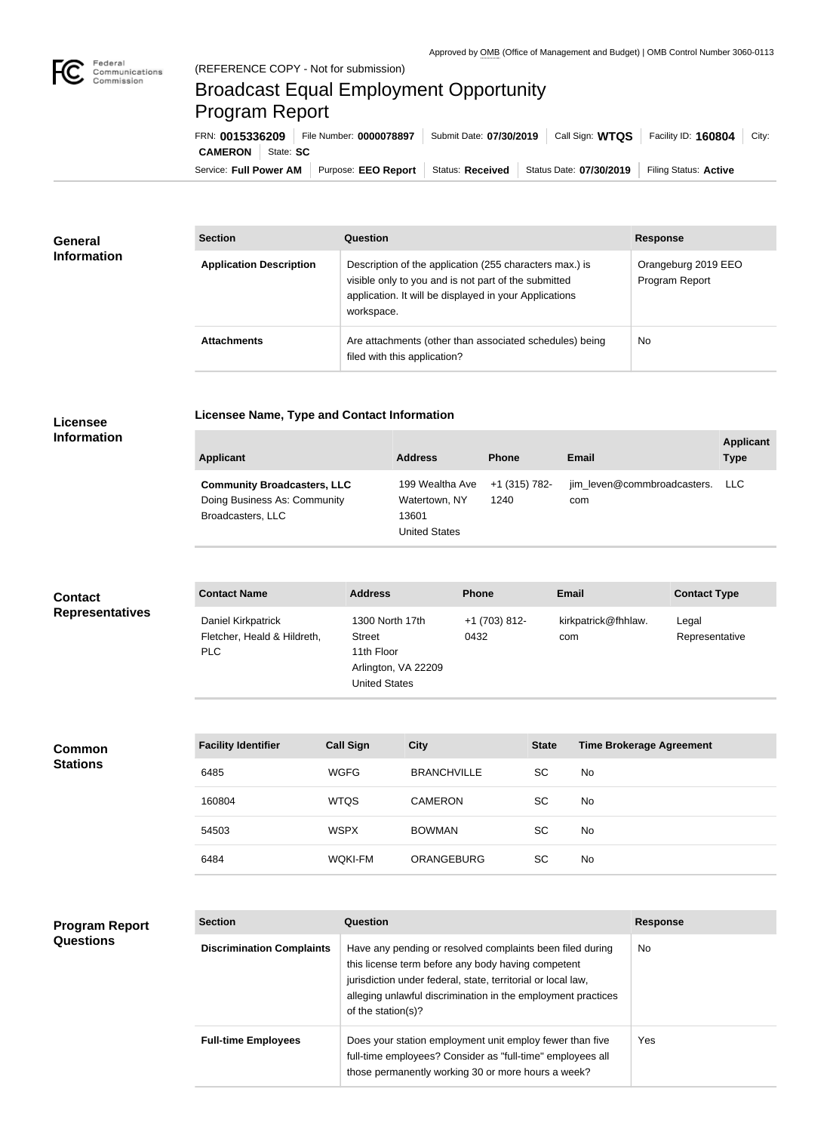

## Broadcast Equal Employment Opportunity Program Report

**Licensee Name, Type and Contact Information**

Service: Full Power AM | Purpose: EEO Report | Status: Received | Status Date: 07/30/2019 | Filing Status: Active **CAMERON** State: SC FRN: **0015336209** File Number: **0000078897** Submit Date: **07/30/2019** Call Sign: **WTQS** Facility ID: **160804** City:

| <b>General</b><br><b>Information</b> | <b>Section</b>                 | Question                                                                                                                                                                                | <b>Response</b>                       |
|--------------------------------------|--------------------------------|-----------------------------------------------------------------------------------------------------------------------------------------------------------------------------------------|---------------------------------------|
|                                      | <b>Application Description</b> | Description of the application (255 characters max.) is<br>visible only to you and is not part of the submitted<br>application. It will be displayed in your Applications<br>workspace. | Orangeburg 2019 EEO<br>Program Report |
|                                      | <b>Attachments</b>             | Are attachments (other than associated schedules) being<br>filed with this application?                                                                                                 | No                                    |

## **Licensee Information**

| <b>Applicant</b>                                                                        | <b>Address</b>                                                    | <b>Phone</b>          | Email                              | <b>Applicant</b><br><b>Type</b> |
|-----------------------------------------------------------------------------------------|-------------------------------------------------------------------|-----------------------|------------------------------------|---------------------------------|
| <b>Community Broadcasters, LLC</b><br>Doing Business As: Community<br>Broadcasters, LLC | 199 Wealtha Ave<br>Watertown, NY<br>13601<br><b>United States</b> | +1 (315) 782-<br>1240 | jim_leven@commbroadcasters.<br>com | LLC.                            |

| <b>Contact</b>         | <b>Contact Name</b>                                             | <b>Address</b>                                                                                | <b>Phone</b>          | <b>Email</b>               | <b>Contact Type</b>     |
|------------------------|-----------------------------------------------------------------|-----------------------------------------------------------------------------------------------|-----------------------|----------------------------|-------------------------|
| <b>Representatives</b> | Daniel Kirkpatrick<br>Fletcher, Heald & Hildreth,<br><b>PLC</b> | 1300 North 17th<br><b>Street</b><br>11th Floor<br>Arlington, VA 22209<br><b>United States</b> | $+1(703)812-$<br>0432 | kirkpatrick@fhhlaw.<br>com | Legal<br>Representative |

| <b>Facility Identifier</b> | <b>Call Sign</b> | <b>City</b>        | <b>State</b> | <b>Time Brokerage Agreement</b> |
|----------------------------|------------------|--------------------|--------------|---------------------------------|
| 6485                       | <b>WGFG</b>      | <b>BRANCHVILLE</b> | SC           | No.                             |
| 160804                     | <b>WTQS</b>      | <b>CAMERON</b>     | SC           | No.                             |
| 54503                      | <b>WSPX</b>      | <b>BOWMAN</b>      | SC           | No                              |
| 6484                       | <b>WQKI-FM</b>   | <b>ORANGEBURG</b>  | SC           | No.                             |

## **Program Report Questions**

**Common Stations**

| <b>Section</b>                   | Question                                                                                                                                                                                                                                                              | <b>Response</b> |
|----------------------------------|-----------------------------------------------------------------------------------------------------------------------------------------------------------------------------------------------------------------------------------------------------------------------|-----------------|
| <b>Discrimination Complaints</b> | Have any pending or resolved complaints been filed during<br>this license term before any body having competent<br>jurisdiction under federal, state, territorial or local law,<br>alleging unlawful discrimination in the employment practices<br>of the station(s)? | No.             |
| <b>Full-time Employees</b>       | Does your station employment unit employ fewer than five<br>full-time employees? Consider as "full-time" employees all<br>those permanently working 30 or more hours a week?                                                                                          | Yes             |